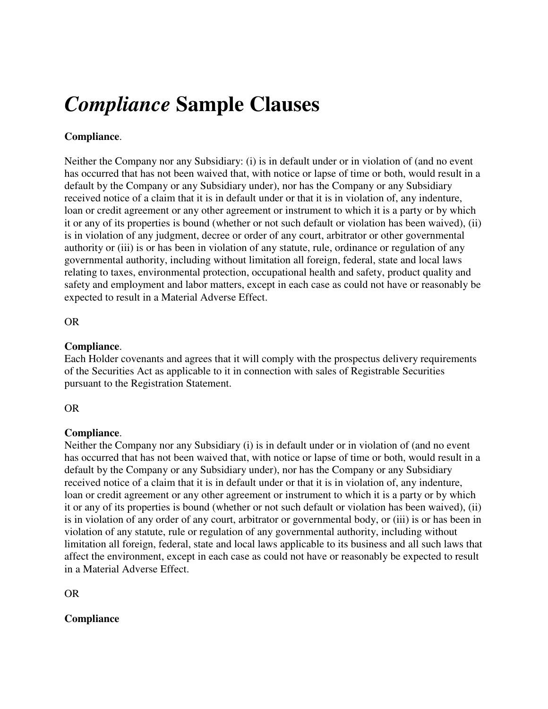# *Compliance* **Sample Clauses**

## **Compliance**.

Neither the Company nor any Subsidiary: (i) is in default under or in violation of (and no event has occurred that has not been waived that, with notice or lapse of time or both, would result in a default by the Company or any Subsidiary under), nor has the Company or any Subsidiary received notice of a claim that it is in default under or that it is in violation of, any indenture, loan or credit agreement or any other agreement or instrument to which it is a party or by which it or any of its properties is bound (whether or not such default or violation has been waived), (ii) is in violation of any judgment, decree or order of any court, arbitrator or other governmental authority or (iii) is or has been in violation of any statute, rule, ordinance or regulation of any governmental authority, including without limitation all foreign, federal, state and local laws relating to taxes, environmental protection, occupational health and safety, product quality and safety and employment and labor matters, except in each case as could not have or reasonably be expected to result in a Material Adverse Effect.

OR

#### **Compliance**.

Each Holder covenants and agrees that it will comply with the prospectus delivery requirements of the Securities Act as applicable to it in connection with sales of Registrable Securities pursuant to the Registration Statement.

OR

## **Compliance**.

Neither the Company nor any Subsidiary (i) is in default under or in violation of (and no event has occurred that has not been waived that, with notice or lapse of time or both, would result in a default by the Company or any Subsidiary under), nor has the Company or any Subsidiary received notice of a claim that it is in default under or that it is in violation of, any indenture, loan or credit agreement or any other agreement or instrument to which it is a party or by which it or any of its properties is bound (whether or not such default or violation has been waived), (ii) is in violation of any order of any court, arbitrator or governmental body, or (iii) is or has been in violation of any statute, rule or regulation of any governmental authority, including without limitation all foreign, federal, state and local laws applicable to its business and all such laws that affect the environment, except in each case as could not have or reasonably be expected to result in a Material Adverse Effect.

OR

## **Compliance**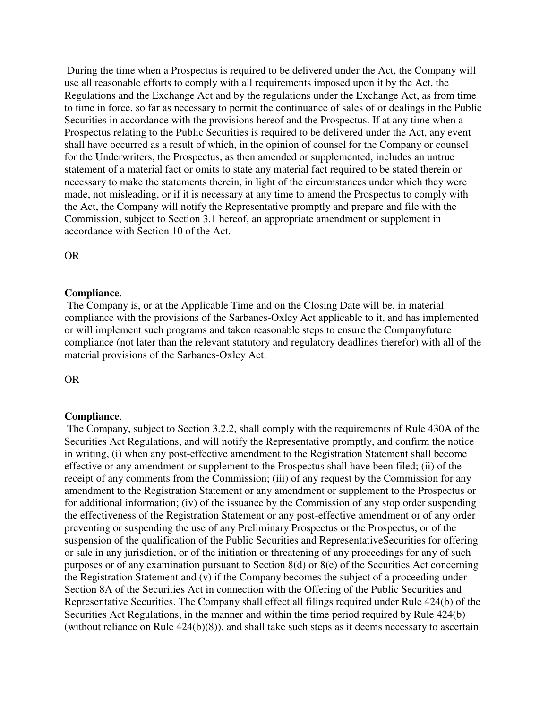During the time when a Prospectus is required to be delivered under the Act, the Company will use all reasonable efforts to comply with all requirements imposed upon it by the Act, the Regulations and the Exchange Act and by the regulations under the Exchange Act, as from time to time in force, so far as necessary to permit the continuance of sales of or dealings in the Public Securities in accordance with the provisions hereof and the Prospectus. If at any time when a Prospectus relating to the Public Securities is required to be delivered under the Act, any event shall have occurred as a result of which, in the opinion of counsel for the Company or counsel for the Underwriters, the Prospectus, as then amended or supplemented, includes an untrue statement of a material fact or omits to state any material fact required to be stated therein or necessary to make the statements therein, in light of the circumstances under which they were made, not misleading, or if it is necessary at any time to amend the Prospectus to comply with the Act, the Company will notify the Representative promptly and prepare and file with the Commission, subject to Section 3.1 hereof, an appropriate amendment or supplement in accordance with Section 10 of the Act.

OR

#### **Compliance**.

 The Company is, or at the Applicable Time and on the Closing Date will be, in material compliance with the provisions of the Sarbanes-Oxley Act applicable to it, and has implemented or will implement such programs and taken reasonable steps to ensure the Companyfuture compliance (not later than the relevant statutory and regulatory deadlines therefor) with all of the material provisions of the Sarbanes-Oxley Act.

OR

#### **Compliance**.

 The Company, subject to Section 3.2.2, shall comply with the requirements of Rule 430A of the Securities Act Regulations, and will notify the Representative promptly, and confirm the notice in writing, (i) when any post-effective amendment to the Registration Statement shall become effective or any amendment or supplement to the Prospectus shall have been filed; (ii) of the receipt of any comments from the Commission; (iii) of any request by the Commission for any amendment to the Registration Statement or any amendment or supplement to the Prospectus or for additional information; (iv) of the issuance by the Commission of any stop order suspending the effectiveness of the Registration Statement or any post-effective amendment or of any order preventing or suspending the use of any Preliminary Prospectus or the Prospectus, or of the suspension of the qualification of the Public Securities and RepresentativeSecurities for offering or sale in any jurisdiction, or of the initiation or threatening of any proceedings for any of such purposes or of any examination pursuant to Section 8(d) or 8(e) of the Securities Act concerning the Registration Statement and (v) if the Company becomes the subject of a proceeding under Section 8A of the Securities Act in connection with the Offering of the Public Securities and Representative Securities. The Company shall effect all filings required under Rule 424(b) of the Securities Act Regulations, in the manner and within the time period required by Rule 424(b) (without reliance on Rule 424(b)(8)), and shall take such steps as it deems necessary to ascertain